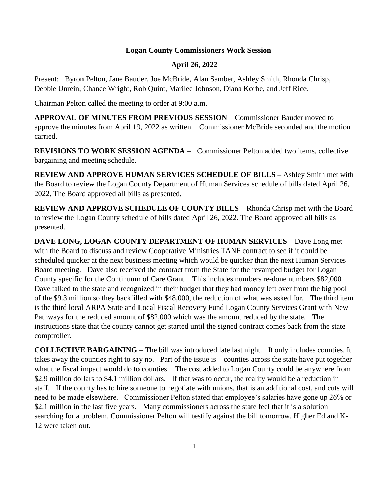## **Logan County Commissioners Work Session**

## **April 26, 2022**

Present: Byron Pelton, Jane Bauder, Joe McBride, Alan Samber, Ashley Smith, Rhonda Chrisp, Debbie Unrein, Chance Wright, Rob Quint, Marilee Johnson, Diana Korbe, and Jeff Rice.

Chairman Pelton called the meeting to order at 9:00 a.m.

**APPROVAL OF MINUTES FROM PREVIOUS SESSION** – Commissioner Bauder moved to approve the minutes from April 19, 2022 as written. Commissioner McBride seconded and the motion carried.

**REVISIONS TO WORK SESSION AGENDA** – Commissioner Pelton added two items, collective bargaining and meeting schedule.

**REVIEW AND APPROVE HUMAN SERVICES SCHEDULE OF BILLS –** Ashley Smith met with the Board to review the Logan County Department of Human Services schedule of bills dated April 26, 2022. The Board approved all bills as presented.

**REVIEW AND APPROVE SCHEDULE OF COUNTY BILLS –** Rhonda Chrisp met with the Board to review the Logan County schedule of bills dated April 26, 2022. The Board approved all bills as presented.

**DAVE LONG, LOGAN COUNTY DEPARTMENT OF HUMAN SERVICES –** Dave Long met with the Board to discuss and review Cooperative Ministries TANF contract to see if it could be scheduled quicker at the next business meeting which would be quicker than the next Human Services Board meeting. Dave also received the contract from the State for the revamped budget for Logan County specific for the Continuum of Care Grant. This includes numbers re-done numbers \$82,000 Dave talked to the state and recognized in their budget that they had money left over from the big pool of the \$9.3 million so they backfilled with \$48,000, the reduction of what was asked for. The third item is the third local ARPA State and Local Fiscal Recovery Fund Logan County Services Grant with New Pathways for the reduced amount of \$82,000 which was the amount reduced by the state. The instructions state that the county cannot get started until the signed contract comes back from the state comptroller.

**COLLECTIVE BARGAINING** – The bill was introduced late last night. It only includes counties. It takes away the counties right to say no. Part of the issue is – counties across the state have put together what the fiscal impact would do to counties. The cost added to Logan County could be anywhere from \$2.9 million dollars to \$4.1 million dollars. If that was to occur, the reality would be a reduction in staff. If the county has to hire someone to negotiate with unions, that is an additional cost, and cuts will need to be made elsewhere. Commissioner Pelton stated that employee's salaries have gone up 26% or \$2.1 million in the last five years. Many commissioners across the state feel that it is a solution searching for a problem. Commissioner Pelton will testify against the bill tomorrow. Higher Ed and K-12 were taken out.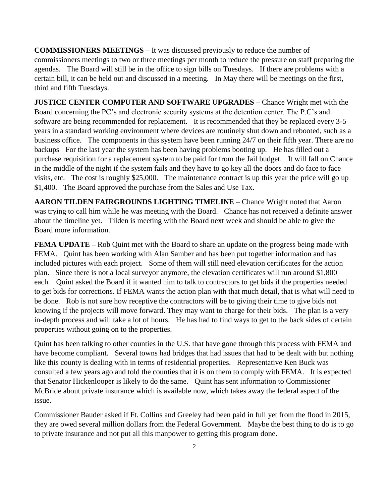**COMMISSIONERS MEETINGS –** It was discussed previously to reduce the number of commissioners meetings to two or three meetings per month to reduce the pressure on staff preparing the agendas. The Board will still be in the office to sign bills on Tuesdays. If there are problems with a certain bill, it can be held out and discussed in a meeting. In May there will be meetings on the first, third and fifth Tuesdays.

**JUSTICE CENTER COMPUTER AND SOFTWARE UPGRADES** – Chance Wright met with the Board concerning the PC's and electronic security systems at the detention center. The P.C's and software are being recommended for replacement. It is recommended that they be replaced every 3-5 years in a standard working environment where devices are routinely shut down and rebooted, such as a business office. The components in this system have been running 24/7 on their fifth year. There are no backups For the last year the system has been having problems booting up. He has filled out a purchase requisition for a replacement system to be paid for from the Jail budget. It will fall on Chance in the middle of the night if the system fails and they have to go key all the doors and do face to face visits, etc. The cost is roughly \$25,000. The maintenance contract is up this year the price will go up \$1,400. The Board approved the purchase from the Sales and Use Tax.

**AARON TILDEN FAIRGROUNDS LIGHTING TIMELINE** – Chance Wright noted that Aaron was trying to call him while he was meeting with the Board. Chance has not received a definite answer about the timeline yet. Tilden is meeting with the Board next week and should be able to give the Board more information.

**FEMA UPDATE** – Rob Quint met with the Board to share an update on the progress being made with FEMA. Quint has been working with Alan Samber and has been put together information and has included pictures with each project. Some of them will still need elevation certificates for the action plan. Since there is not a local surveyor anymore, the elevation certificates will run around \$1,800 each. Quint asked the Board if it wanted him to talk to contractors to get bids if the properties needed to get bids for corrections. If FEMA wants the action plan with that much detail, that is what will need to be done. Rob is not sure how receptive the contractors will be to giving their time to give bids not knowing if the projects will move forward. They may want to charge for their bids. The plan is a very in-depth process and will take a lot of hours. He has had to find ways to get to the back sides of certain properties without going on to the properties.

Quint has been talking to other counties in the U.S. that have gone through this process with FEMA and have become compliant. Several towns had bridges that had issues that had to be dealt with but nothing like this county is dealing with in terms of residential properties. Representative Ken Buck was consulted a few years ago and told the counties that it is on them to comply with FEMA. It is expected that Senator Hickenlooper is likely to do the same. Quint has sent information to Commissioner McBride about private insurance which is available now, which takes away the federal aspect of the issue.

Commissioner Bauder asked if Ft. Collins and Greeley had been paid in full yet from the flood in 2015, they are owed several million dollars from the Federal Government. Maybe the best thing to do is to go to private insurance and not put all this manpower to getting this program done.